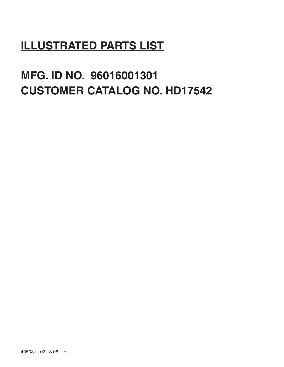# **ILLUSTRATED PARTS LIST**

# **MFG. ID NO. 96016001301 CUSTOMER CATALOG NO. HD17542**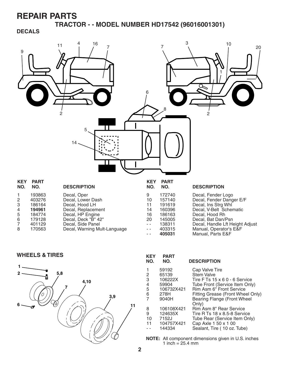**TRACTOR - - MODEL NUMBER HD17542 (96016001301)**

#### **DECALS**



|    | 401129 | Decal, Side Panel            |
|----|--------|------------------------------|
| -8 | 170563 | Decal, Warning Mult-Language |

| 10            | 157140 | Decal, Fender Danger E/F        |
|---------------|--------|---------------------------------|
| 11            | 191619 | Decal, Ins Strg Whl             |
| 14            | 160396 | Decal, V-Belt Schematic         |
| 16            | 186163 | Decal. Hood Rh                  |
| 20            | 145005 | Decal, Bat Dan/Psn              |
| $\sim$ $\sim$ | 138311 | Decal, Handle Lft Height Adjust |
| $\sim$ $\sim$ | 403315 | Manual, Operator's E&F          |
| $\sim$ $\sim$ | 405031 | Manual, Parts E&F               |
|               |        |                                 |

**WHEELS & TIRES KEY PART** 



| NEI<br>NO. | FAR I<br>NO. | <b>DESCRIPTION</b>                          |
|------------|--------------|---------------------------------------------|
| 1          | 59192        | Cap Valve Tire                              |
| 2          | 65139        | Stem Valve                                  |
| 3          | 106222X      | Tire F Ts $15 \times 60 - 6$ Service        |
| 4          | 59904        | Tube Front (Service Item Only)              |
| 5          | 106732X421   | Rim Asm 6" Front Service                    |
| 6          | 278H         | Fitting Grease (Front Wheel Only)           |
| 7          | 9040H        | <b>Bearing Flange (Front Wheel</b><br>Only) |
| 8          | 106108X421   | Rim Asm 8" Rear Service                     |
| 9          | 124635X      | Tire R Ts 18 x 8.5-8 Service                |
| 10         | 7152J        | Tube Rear (Service Item Only)               |
| 11         | 104757X421   | Cap Axle 1 50 x 1 00                        |
|            | 144334       | Sealant, Tire (10 oz. Tube)                 |

**NOTE:** All component dimensions given in U.S. inches 1 inch =  $25.4 \, \text{mm}$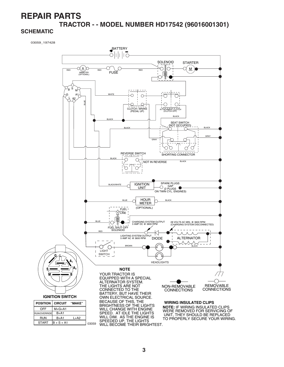## **REPAIR PARTS TRACTOR - - MODEL NUMBER HD17542 (96016001301)**

#### **SCHEMATIC**

03059\_197428

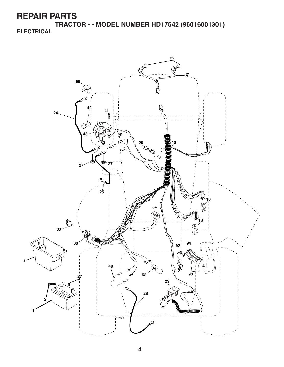**TRACTOR - - MODEL NUMBER HD17542 (96016001301) ELECTRICAL**

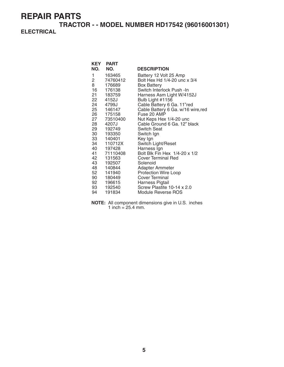**TRACTOR - - MODEL NUMBER HD17542 (96016001301) ELECTRICAL**

|                | <b>KEY PART</b> |                                    |
|----------------|-----------------|------------------------------------|
| NO.            | NO.             | <b>DESCRIPTION</b>                 |
| 1              | 163465          | Battery 12 Volt 25 Amp             |
| $\overline{2}$ | 74760412        | Bolt Hex Hd 1/4-20 unc x 3/4       |
| 8              | 176689          | <b>Box Battery</b>                 |
| 16             | 176138          | Switch Interlock Push -In          |
|                | 21 183759       | Harness Asm Light W/4152J          |
|                | 22 4152J        | Bulb Light #1156                   |
| 24             | 4799J           | Cable Battery 6 Ga. 11"red         |
|                | 25 146147       | Cable Battery 6 Ga. w/16 wire, red |
|                | 26 175158       | Fuse 20 AMP                        |
| 27             | 73510400        | Nut Keps Hex 1/4-20 unc            |
| 28 —           | 4207J           | Cable Ground 6 Ga. 12" black       |
|                | 29 192749       | <b>Switch Seat</b>                 |
|                | 30 193350       | Switch Ign                         |
|                | 33 140401       | Key Ign                            |
|                | 34 110712X      | Switch Light/Reset                 |
|                | 40 197428       | Harness Ign                        |
|                | 41 71110408     | Bolt Blk Fin Hex 1/4-20 x 1/2      |
| 42             | 131563          | Cover Terminal Red                 |
|                | 43 192507       | Solenoid                           |
|                | 48 140844       | Adapter Ammeter                    |
| 52             | 141940          | <b>Protection Wire Loop</b>        |
|                | 90 180449       | Cover Terminal                     |
|                | 92 196615       | Harness Pigtail                    |
|                | 93 192540       | Screw Plastite 10-14 x 2.0         |
| 94             | 191834          | Module Reverse ROS                 |

**NOTE:** All component dimensions give in U.S. inches 1 inch =  $25.4$  mm.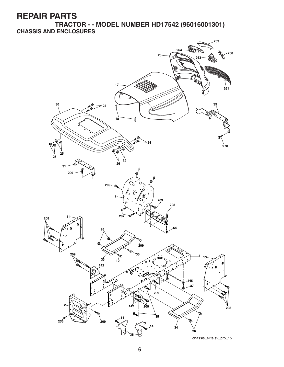**TRACTOR - - MODEL NUMBER HD17542 (96016001301) CHASSIS AND ENCLOSURES**

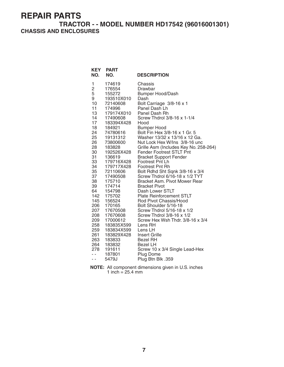#### **TRACTOR - - MODEL NUMBER HD17542 (96016001301) CHASSIS AND ENCLOSURES**

| <b>KEY</b><br>NO.                                                                                                                                                                                                                         | <b>PART</b><br>NO.                                                                                                                                                                                                                                                                                                                                                                                                                    | <b>DESCRIPTION</b>                                                                                                                                                                                                                                                                                                                                                                                                                                                                                                                                                                                                                                                                                                                                                                                                                                                                                                                                 |
|-------------------------------------------------------------------------------------------------------------------------------------------------------------------------------------------------------------------------------------------|---------------------------------------------------------------------------------------------------------------------------------------------------------------------------------------------------------------------------------------------------------------------------------------------------------------------------------------------------------------------------------------------------------------------------------------|----------------------------------------------------------------------------------------------------------------------------------------------------------------------------------------------------------------------------------------------------------------------------------------------------------------------------------------------------------------------------------------------------------------------------------------------------------------------------------------------------------------------------------------------------------------------------------------------------------------------------------------------------------------------------------------------------------------------------------------------------------------------------------------------------------------------------------------------------------------------------------------------------------------------------------------------------|
| 1<br>$rac{2}{5}$<br>9<br>10<br>11<br>13<br>14<br>17<br>18<br>24<br>25<br>26<br>28<br>30<br>31<br>33<br>34<br>35<br>37<br>38<br>39<br>64<br>142<br>145<br>206<br>207<br>208<br>209<br>258<br>259<br>261<br>263<br>264<br>278<br>- -<br>- - | 174619<br>176554<br>155272<br>193510X010<br>72140608<br>174996<br>179174X010<br>17490608<br>183394X428<br>184921<br>74780616<br>19131312<br>73800600<br>183828<br>192526X428<br>136619<br>179716X428<br>179717X428<br>72110606<br>17490508<br>175710<br>174714<br>154798<br>175702<br>156524<br>170165<br>17670508<br>17670608<br>17000612<br>183835X599<br>183834X599<br>183829X428<br>183833<br>183832<br>191611<br>187801<br>5479J | Chassis<br>Drawbar<br><b>Bumper Hood/Dash</b><br>Dash<br>Bolt Carriage 3/8-16 x 1<br>Panel Dash Lh<br>Panel Dash Rh<br>Screw Thdrol 3/8-16 x 1-1/4<br>Hood<br><b>Bumper Hood</b><br>Bolt Fin Hex 3/8-16 x 1 Gr. 5<br>Washer 13/32 x 13/16 x 12 Ga.<br>Nut Lock Hex W/Ins 3/8-16 unc<br>Grille Asm (Includes Key No. 258-264)<br><b>Fender Footrest STLT Pnt</b><br><b>Bracket Support Fender</b><br>Footrest Pnt Lh<br><b>Footrest Pnt Rh</b><br>Bolt Rdhd Sht Sqnk 3/8-16 x 3/4<br>Screw Thdrol 6/16-18 x 1/2 TYT<br><b>Bracket Asm. Pivot Mower Rear</b><br><b>Bracket Pivot</b><br>Dash Lower STLT<br><b>Plate Reinforcement STLT</b><br>Rod Pivot Chassis/Hood<br>Bolt Shoulder 5/16-18<br>Screw Thdrol 5/16-18 x 1/2<br>Screw Thdrol 3/8-16 x 1/2<br>Screw Hex Wsh Thdr. 3/8-16 x 3/4<br>Lens RH<br>Lens LH<br><b>Insert Grille</b><br><b>Bezel RH</b><br><b>Bezel LH</b><br>Screw 10 x 3/4 Single Lead-Hex<br>Plug Dome<br>Plug Btn Blk .359 |

**NOTE:** All component dimensions given in U.S. inches 1 inch  $= 25.4$  mm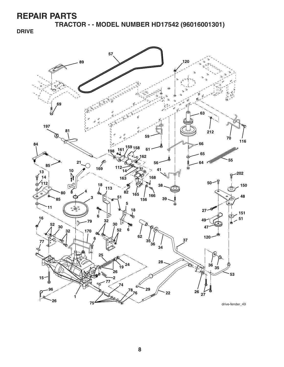**TRACTOR - - MODEL NUMBER HD17542 (96016001301)**

**DRIVE**



drive-fender\_49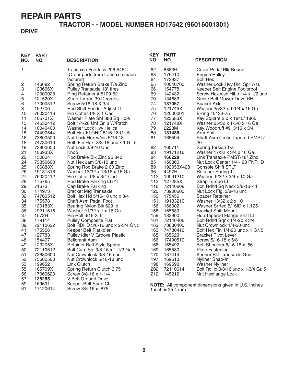## **TRACTOR - - MODEL NUMBER HD17542 (96016001301)**

#### **DRIVE**

| <b>KEY</b><br>NO. | <b>PART</b><br>NO.   | <b>DESCRIPTION</b>                                               | <b>KEY</b><br>NO. | <b>PART</b><br>NO.           | <b>DESCRIPTION</b>                                        |
|-------------------|----------------------|------------------------------------------------------------------|-------------------|------------------------------|-----------------------------------------------------------|
| 1                 | .                    | Transaxle Peerless 206-545C<br>(Order parts from transaxle manu- | 62<br>63          | 8883R<br>175410              | Cover Pedal Blk Round<br><b>Engine Pulley</b>             |
|                   |                      | facturer)                                                        | 64                | 173937                       | <b>Bolt Hex</b>                                           |
| 2                 | 146682               | Spring Return Brake T/a Zinc                                     | 65                | 10040700                     | Washer Lock Hvy Hlcl Spr 7/16                             |
| 3                 | 123666X              | Pulley Transaxle 18" tires                                       | 66                | 154778                       | Keeper Belt Engine Foolproof                              |
| 4                 | 12000028             | Ring Retainer # 5100-62                                          | 69                | 142432                       | Screw Hex wsh HiLo 1/4 x 1/2 und                          |
| 5                 | 121520X              | Strap Torque 30 Degrees                                          | 70                | 134683                       | Guide Belt Mower Drive RH                                 |
| 6                 | 17000512             | Screw 5/16-18 X 3/4                                              | 74                | 137057                       | Spacer Axle                                               |
| 8                 | 192706               | Rod Shift Fender Adjust Lt                                       | 75                | 121749X                      | Washer 25/32 x 1 1/4 x 16 Ga.                             |
| 10                | 76020416             | Pin Cotter 1/8 X 1 Cad                                           | 76                | 12000001                     | E-ring #5133-75                                           |
| 11                | 105701X              | Washer Plate Shf 388 Sq Hole                                     | 77                | 123583X                      | Key Square 2 0 x 1845/1865                                |
| 13                | 74550412             | Bolt 1/4-28 Unf Gr. 8 W/Patch                                    | 78                | 121748X                      | Washer 25/32 x 1-5/8 x 16 Ga.                             |
| 14                | 10040400             | Washer Lock Hvy Helical                                          | 79                | 2228M                        | Key Woodruff #9 3/16 x 3/4                                |
| 15                | 74490544             | Bolt Hex FLGHD 5/16-18 Gr. 5                                     | 80                | 131486                       | Arm Shift                                                 |
| 16<br>18          | 73800500<br>74780616 | Nut Lock Hex w/ins 5/16-18<br>Bolt, Fin Hex 3/8-16 unc x 1 Gr. 5 | 81                | 165594                       | Shaft Asm Cross Tapered PMST/<br>20                       |
| 19                | 73800600             | Nut Lock 3/8-16 Unc                                              | 82                | 165711                       | Spring Torsion T/a                                        |
| 21                | 106933X              | Knob                                                             | 83                | 19171216                     | Washer 17/32 x 3/4 x 16 Ga.                               |
| 22                | 130804               | Rod Brake Blk Zinc 26 840                                        | 84                | 166228                       | Link Transaxle PMST/18" Zinc                              |
| 24                | 73350600             | Nut Hex Jam 3/8-16 unc                                           | 85                | 150360                       | Nut Lock Center 1/4 - 28 FNTHD                            |
| 25                | 106888X              | Spring Rod Brake 2 00 Zinc                                       | 89                | 192053X428                   | <b>Console Shift STLT</b>                                 |
| 26                | 19131316             | Washer 13/32 x 13/16 x 16 Ga.                                    | 96                | 4497H                        | Retainer Spring 1"                                        |
| 27                | 76020412             | Pin Cotter 1/8 x 3/4 Cad                                         | 112               | 19091210                     | Washer 9/32 x 3/4 x 10 Ga.                                |
| 28                | 175765               | Rod Brake Parking LT/YT                                          | 113               | 127285X                      | Strap Torque LT                                           |
| 29                | 71673                | Cap Brake Parking                                                | 116               | 72140608                     | Bolt Rdhd Sq Neck 3/8-16 x 1                              |
| 30                | 174973               | <b>Bracket Mtg Transaxle</b>                                     | 120               | 73900600                     | Nut Lock Flg. 3/8-16 unc                                  |
| 32                | 74760512             | Bolt Hex Hd 5/16-18 unc x 3/4                                    | 150               | 175456                       | Spacer Retainer                                           |
| 34                | 175578               | Shaft Asm Pedal Foot                                             | 151               | 19133210                     | Washer 13/32 x 2 x 10                                     |
| 35<br>36          | 120183X              | Bearing Nylon Blk 629 Id<br>Washer 21/32 x 1 x 16 Ga.            | 156<br>158        | 166002                       | Washer Srrted 5/16ID x 1.125                              |
| 37                | 19211616<br>1572H    | Pin Roll 3/16 X 1"                                               | 159               | 165589<br>183900             | <b>Bracket Shift Mount</b><br>Hub Tapered Flange Shift Lt |
| 38                | 179114               | <b>Pulley Composite Flat</b>                                     | 161               | 72140406                     | Bolt Rdhd Sqnk 1/4-20 x 3/4                               |
| 39                | 72110622             | Bolt RDHD 3/8-16 unc x 2-3/4 Gr. 5                               | 162               | 73680400                     | Nut Crownlock 1/4-20 unc                                  |
| 41                | 175556               | Keeper Belt Flat Idler                                           | 163               | 74780416                     | Bolt Hex Fin 1/4-20 unc x 1 Gr. 5                         |
| 47                | 127783               | Pulley Idler V Groove Plastic                                    | 165               | 165623                       | <b>Bracket Pivot Lever</b>                                |
| 48                | 154407               | <b>Bellcrank Asm</b>                                             | 166               | 17490510                     | Screw 5/16-18 x 5/8                                       |
| 49                | 123205X              | <b>Retainer Belt Style Spring</b>                                | 168               | 165492                       | Bolt Shoulder 5/16-18 x .561                              |
| 50                | 72110612             | Bolt Carr. Sh. 3/8-16 x 1-1/2 Gr. 5                              | 169               | 165580                       | <b>Plate Fastening</b>                                    |
| 51                | 73680600             | Nut Crownlock 3/8-16 unc                                         | 170               | 187414                       | Keeper Belt Transaxle Gear                                |
| 52                | 73680500             | Nut Crownlock 5/16-18 unc                                        | 197               | 169613                       | Nyliner Snap-In                                           |
| 53                | 199652               | Link Clutch                                                      | 198               | 169593                       | <b>Washer Nyliner</b>                                     |
| 55                | 105709X              | Spring Return Clutch 6 75                                        | 202               | 72110614                     | Bolt RdHd 3/8-16 unc x 1-3/4 Gr. 5                        |
| 56                | 17060620             | Screw 3/8-16 x 1-1/4                                             | 212               | 145212                       | Nut Hexflange Lock                                        |
| 57                | 138255               | V-Belt Ground Drive                                              |                   |                              |                                                           |
| 59                | 169691               | Keeper Belt Span Ctr                                             |                   |                              | NOTE: All component dimensions given in U.S. inches       |
| 61                | 17120614             | Screw 3/8-16 x .875                                              |                   | 1 inch = $25.4 \, \text{mm}$ |                                                           |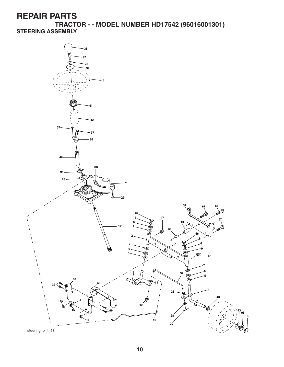**TRACTOR - - MODEL NUMBER HD17542 (96016001301) STEERING ASSEMBLY**

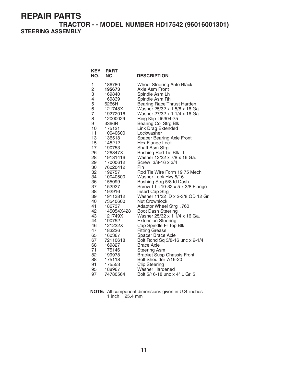**TRACTOR - - MODEL NUMBER HD17542 (96016001301) STEERING ASSEMBLY**

| <b>KEY</b><br>NO.   | <b>PART</b><br>NO.    | <b>DESCRIPTION</b>                                             |
|---------------------|-----------------------|----------------------------------------------------------------|
| 1                   | 186780                | <b>Wheel Steering Auto Black</b>                               |
| 2                   | 195673                | Axle Asm Front                                                 |
| 3                   | 169840                | Spindle Asm Lh                                                 |
| 4                   | 169839                | Spindle Asm Rh                                                 |
| 5                   | 6266H                 | Bearing Race Thrust Harden                                     |
| 6<br>$\overline{7}$ | 121748X<br>19272016   | Washer 25/32 x 1 5/8 x 16 Ga.<br>Washer 27/32 x 1 1/4 x 16 Ga. |
| 8                   | 12000029              | Ring Klip #t5304-75                                            |
| 9                   | 3366R                 | <b>Bearing Col Strg Blk</b>                                    |
| 10                  | 175121                | <b>Link Drag Extended</b>                                      |
| 11                  | 10040600              | Lockwasher                                                     |
| 13                  | 136518                | <b>Spacer Bearing Axle Front</b>                               |
| 15                  | 145212                | Hex Flange Lock                                                |
| 17                  | 190753                | Shaft Asm Strg                                                 |
| 26                  | 126847X               | Bushing Rod Tie Blk Lt                                         |
| 28                  | 19131416              | Washer 13/32 x 7/8 x 16 Ga.                                    |
| 29<br>30            | 17000612<br>76020412  | Screw 3/8-16 x 3/4<br>Pin                                      |
| 32                  | 192757                | Rod Tie Wire Form 19 75 Mech                                   |
| 34                  | 10040500              | Washer Lock Hvy 5/16                                           |
| 36                  | 155099                | Bushing Strg 5/8 Id Dash                                       |
| 37                  | 152927                | Screw $TT$ #10-32 x 5 x 3/8 Flange                             |
| 38                  | 192916                | Insert Cap Strg                                                |
| 39                  | 19113812              | Washer 11/32 ID x 2-3/8 OD 12 Gr.                              |
| 40                  | 73540600              | <b>Nut Crownlock</b>                                           |
| 41                  | 186737                | Adaptor Wheel Strg .760                                        |
| 42<br>43            | 145054X428<br>121749X | <b>Boot Dash Steering</b><br>Washer 25/32 x 1 1/4 x 16 Ga.     |
| 44                  | 190752                | <b>Extension Steering</b>                                      |
| 46                  | 121232X               | Cap Spindle Fr Top Blk                                         |
| 47                  | 183226                | <b>Fitting Grease</b>                                          |
| 65                  | 160367                | Spacer Brace Axle                                              |
| 67                  | 72110618              | Bolt Rdhd Sq 3/8-16 unc x 2-1/4                                |
| 68                  | 169827                | Brace Axle                                                     |
| 71                  | 175146                | <b>Steering Asm</b>                                            |
| 82                  | 199978                | <b>Bracket Susp Chassis Front</b>                              |
| 88<br>91            | 175118                | Bolt Shoulder 7/16-20                                          |
| 95                  | 175553<br>188967      | <b>Clip Steering</b><br>Washer Hardened                        |
|                     |                       |                                                                |
| 97                  | 74780564              | Bolt 5/16-18 unc x 4" L Gr. 5                                  |

**NOTE:** All component dimensions given in U.S. inches 1 inch =  $25.4 \text{ mm}$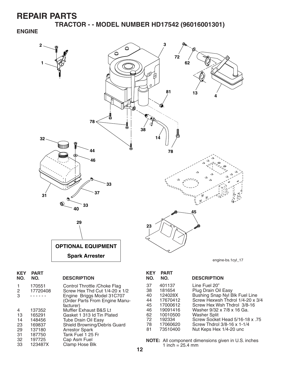**TRACTOR - - MODEL NUMBER HD17542 (96016001301)**

#### **ENGINE**



| KEY<br>NO. | <b>PART</b><br>NO. | <b>DESCRIPTION</b>             |
|------------|--------------------|--------------------------------|
| 1          | 170551             | Control Throttle / Choke Flag  |
| 2          | 17720408           | Screw Hex Thd Cut 1/4-20 x 1/2 |
| 3          |                    | Engine Briggs Model 31C707     |
|            |                    | (Order Parts From Engine Manu- |
|            |                    | facturer)                      |
| 4          | 137352             | Muffler Exhaust B&S Lt         |
| 13         | 165291             | Gasket 1 313 Id Tin Plated     |
| 14         | 148456             | <b>Tube Drain Oil Easy</b>     |
| 23         | 169837             | Shield Browning/Debris Guard   |
| 29         | 137180             | <b>Arrestor Spark</b>          |
| 31         | 187750             | Tank Fuel 1 25 Fr              |
| 32         | 197725             | Cap Asm Fuel                   |
| 33         | 123487X            | Clamp Hose Blk                 |
|            |                    |                                |

| <b>KEY</b><br>NO. | <b>PART</b><br>NO. | <b>DESCRIPTION</b>               |
|-------------------|--------------------|----------------------------------|
| 37                | 401137             | Line Fuel 20"                    |
| 38                | 181654             | Plug Drain Oil Easy              |
| 40                | 124028X            | Bushing Snap Nyl Blk Fuel Line   |
| 44                | 17670412           | Screw Hexwsh Thdrol 1/4-20 x 3/4 |
| 45                | 17000612           | Screw Hex Wsh Thdrol 3/8-16      |
| 46                | 19091416           | Washer 9/32 x 7/8 x 16 Ga.       |
| 62                | 10010500           | <b>Washer Split</b>              |
| 72                | 192334             | Screw Socket Head 5/16-18 x .75  |
| 78                | 17060620           | Screw Thdrol 3/8-16 x 1-1/4      |
| 81                | 73510400           | Nut Keps Hex 1/4-20 unc          |

**NOTE:** All component dimensions given in U.S. inches 1 inch =  $25.4 \, \text{mm}$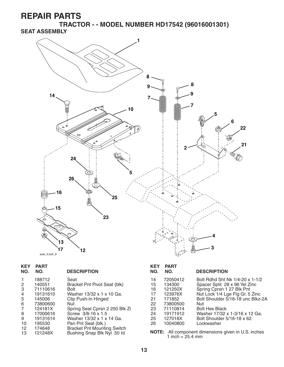**TRACTOR - - MODEL NUMBER HD17542 (96016001301) SEAT ASSEMBLY**



| <b>KEY</b><br>NO.       | <b>PART</b><br>NO. | <b>DESCRIPTION</b>                                               | <b>KEY</b><br>NO. | <b>PART</b><br>NO. | <b>DESCRIPTION</b>                                         |
|-------------------------|--------------------|------------------------------------------------------------------|-------------------|--------------------|------------------------------------------------------------|
|                         | 188712             | Seat                                                             | 14                | 72050412           | Bolt Rdhd Sht Nk 1/4-20 x 1-1/2                            |
| $\overline{2}$          | 140551             | Bracket Pnt Pivot Seat (blk)                                     | 15                | 134300             | Spacer Split 28 x 96 Yel Zinc                              |
| 3                       | 71110616           | <b>Bolt</b>                                                      | 16                | 121250X            | Spring Cprsn 1 27 Blk Pnt                                  |
| 4                       | 19131610           | Washer 13/32 x 1 x 10 Ga.                                        | 17                | 123976X            | Nut Lock 1/4 Lge Flg Gr. 5 Zinc                            |
| 5                       | 145006             | Clip Push-In Hinged                                              | 21                | 171852             | Bolt Shoulder 5/16-18 unc Blkz-2A                          |
| 6                       | 73800600           | Nut.                                                             | 22                | 73800500           | Nut                                                        |
| $\overline{7}$          | 124181X            | Spring Seat Cprsn 2 250 Blk Zi                                   | 23                | 71110814           | <b>Bolt Hex Black</b>                                      |
| 8                       | 17000616           | Screw 3/8-16 x 1.5                                               | 24                | 19171912           | Washer 17/32 x 1-3/16 x 12 Ga.                             |
| 9                       | 19131614           | Washer 13/32 x 1 x 14 Ga.                                        | 25                | 127018X            | Bolt Shoulder 5/16-18 x 62                                 |
| 10                      | 195530             | Pan Pnt Seat (blk)                                               | 26                | 10040800           | Lockwasher                                                 |
| $12 \overline{ }$<br>13 | 174648<br>121248X  | <b>Bracket Pnt Mounting Switch</b><br>Bushing Snap Blk Nyl 50 ld |                   | 1 inch = $25.4$ mm | <b>NOTE:</b> All component dimensions given in U.S. inches |

**13**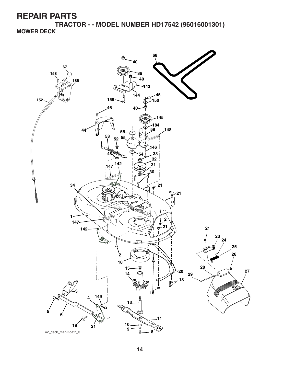**TRACTOR - - MODEL NUMBER HD17542 (96016001301) MOWER DECK**

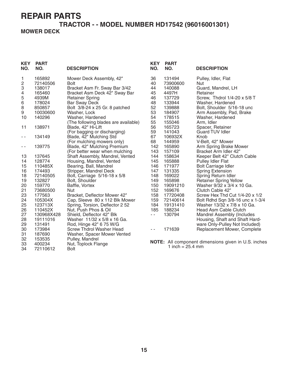34 72110612 Bolt

#### **TRACTOR - - MODEL NUMBER HD17542 (96016001301) MOWER DECK**

| <b>KEY</b><br>NO. | <b>PART</b><br>NO. | <b>DESCRIPTION</b>                               | <b>KEY</b><br>NO. | <b>PART</b><br>NO. | <b>DESCRIPTION</b>                                  |
|-------------------|--------------------|--------------------------------------------------|-------------------|--------------------|-----------------------------------------------------|
| 1                 | 165892             | Mower Deck Assembly, 42"                         | 36                | 131494             | Pulley, Idler, Flat                                 |
| 2                 | 72140506           | <b>Bolt</b>                                      | 40                | 73900600           | <b>Nut</b>                                          |
| 3                 | 138017             | Bracket Asm Fr. Sway Bar 3/42                    | 44                | 140088             | Guard, Mandrel, LH                                  |
| 4                 | 165460             | Bracket Asm Deck 42" Sway Bar                    | 45                | 4497H              | Retainer                                            |
| 5                 | 4939M              | <b>Retainer Spring</b>                           | 46                | 137729             | Screw, Thdrol 1/4-20 x 5/8 T                        |
| 6                 | 178024             | <b>Bar Sway Deck</b>                             | 48                | 133944             | Washer, Hardened                                    |
| 8                 | 850857             | Bolt 3/8-24 x 25 Gr. 8 patched                   | 52                | 139888             | Bolt, Shoulder 5/16-18 unc                          |
| 9                 | 10030600           | Washer, Lock                                     | 53                | 184907             | Arm Assembly, Pad, Brake                            |
| 10                | 140296             | Washer, Hardened                                 | 54                | 178515             | Washer, Hardened                                    |
|                   |                    | (The following blades are available)             | 55                | 155046             | Arm, Idler                                          |
| 11                | 138971             | Blade, 42" Hi-Lift                               | 56                | 165723             | Spacer, Retainer                                    |
|                   |                    | (For bagging or discharging)                     | 59                | 141043             | Guard TUV Idler                                     |
| - -               | 134149             | Blade, 42" Mulching Std                          | 67                | 106932X            | Knob                                                |
|                   |                    | (For mulching mowers only)                       | 68                | 144959             | V-Belt, 42" Mower                                   |
| - -               | 139775             | Blade, 42" Mulching Premium                      | 142               | 165890             | Arm Spring Brake Mower                              |
|                   |                    | (For better wear when mulching                   | 143               | 157109             | Bracket Arm Idler 42"                               |
| 13                | 137645             | Shaft Assembly, Mandrel, Vented                  | 144               | 158634             | Keeper Belt 42" Clutch Cable                        |
| 14                | 128774             | Housing, Mandrel, Vented                         | 145<br>146        | 165888             | Pulley Idler Flat                                   |
| 15<br>16          | 110485X<br>174493  | Bearing, Ball, Mandrel<br>Stripper, Mandrel Deck | 147               | 171977<br>131335   | <b>Bolt Carriage Idler</b>                          |
| 18                | 72140505           | Bolt, Carriage 5/16-18 x 5/8                     | 148               | 169022             | <b>Spring Extension</b><br>Spring Return Idler      |
| 19                | 132827             | Bolt, Shoulder                                   | 149               | 165898             | <b>Retainer Spring Yellow</b>                       |
| 20                | 159770             | Baffle, Vortex                                   | 150               | 19091210           | Washer 9/32 x 3/4 x 10 Ga.                          |
| 21                | 73680500           | <b>Nut</b>                                       | 152               | 169676             | Clutch Cable 42"                                    |
| 23                | 177563             | Bracket, Deflector Mower 42"                     | 158               | 17720408           | Screw Hex Thd Cut 1/4-20 x 1/2                      |
| 24                | 105304X            | Cap, Sleeve 80 x 112 Blk Mower                   | 159               | 72140614           | Bolt Rdhd Sqn 3/8-16 unc x 1-3/4                    |
| 25                | 123713X            | Spring, Torsion, Deflector 2 52                  | 184               | 19131410           | Washer 13/32 x 7/8 x 10 Ga.                         |
| 26                | 110452X            | Nut, Push Phos & Oil                             | 185               | 188234             | Head Asm Cable Clutch                               |
| 27                | 130968X428         | Shield, Deflector 42" Blk                        | $\sim$ $-$        | 130794             | <b>Mandrel Assembly (Includes</b>                   |
| 28                | 19111016           | Washer 11/32 x 5/8 x 16 Ga.                      |                   |                    | Housing, Shaft and Shaft Hard-                      |
| 29                | 131491             | Rod, Hinge 42" 6 75 W/G                          |                   |                    | ware Only-Pulley Not Included)                      |
| 30                | 173984             | Screw Thdrol Washer Head                         | $ -$              | 171639             | Replacement Mower, Complete                         |
| 31                | 187690             | Washer, Spacer Mower Vented                      |                   |                    |                                                     |
| 32                | 153535             | Pulley, Mandrel                                  |                   |                    |                                                     |
| 33                | 400234             | Nut, Toplock Flange                              |                   |                    | NOTE: All component dimensions given in U.S. inches |
| $\Omega$          | 70110610           | $D0$ I+                                          |                   | 1 inch = $25.4$ mm |                                                     |